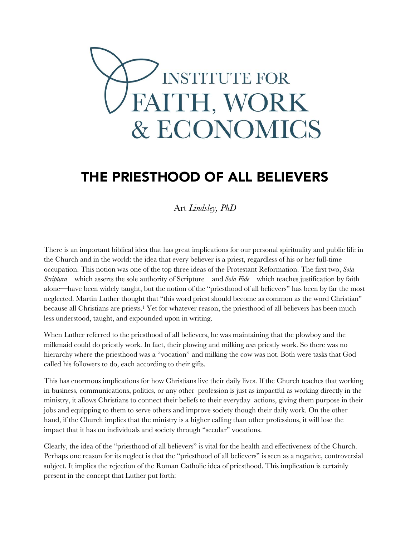

# THE PRIESTHOOD OF ALL BELIEVERS

Art *Lindsley, PhD*

There is an important biblical idea that has great implications for our personal spirituality and public life in the Church and in the world: the idea that every believer is a priest, regardless of his or her full-time occupation. This notion was one of the top three ideas of the Protestant Reformation. The first two, *Sola Scriptura—*which asserts the sole authority of Scripture—and *Sola Fide*—which teaches justification by faith alone—have been widely taught, but the notion of the "priesthood of all believers" has been by far the most neglected. Martin Luther thought that "this word priest should become as common as the word Christian" because all Christians are priests.<sup>1</sup> Yet for whatever reason, the priesthood of all believers has been much less understood, taught, and expounded upon in writing.

When Luther referred to the priesthood of all believers, he was maintaining that the plowboy and the milkmaid could do priestly work. In fact, their plowing and milking *was* priestly work. So there was no hierarchy where the priesthood was a "vocation" and milking the cow was not. Both were tasks that God called his followers to do, each according to their gifts.

This has enormous implications for how Christians live their daily lives. If the Church teaches that working in business, communications, politics, or any other profession is just as impactful as working directly in the ministry, it allows Christians to connect their beliefs to their everyday actions, giving them purpose in their jobs and equipping to them to serve others and improve society though their daily work. On the other hand, if the Church implies that the ministry is a higher calling than other professions, it will lose the impact that it has on individuals and society through "secular" vocations.

Clearly, the idea of the "priesthood of all believers" is vital for the health and effectiveness of the Church. Perhaps one reason for its neglect is that the "priesthood of all believers" is seen as a negative, controversial subject. It implies the rejection of the Roman Catholic idea of priesthood. This implication is certainly present in the concept that Luther put forth: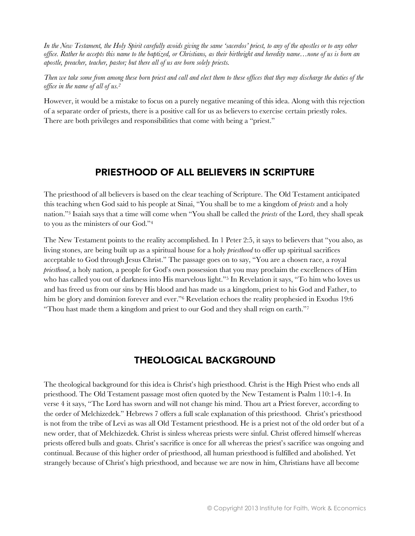*In the New Testament, the Holy Spirit carefully avoids giving the same 'sacerdos' priest, to any of the apostles or to any other office. Rather he accepts this name to the baptized, or Christians, as their birthright and heredity name…none of us is born an apostle, preacher, teacher, pastor; but there all of us are born solely priests.*

*Then we take some from among these born priest and call and elect them to these offices that they may discharge the duties of the office in the name of all of us.<sup>2</sup>*

However, it would be a mistake to focus on a purely negative meaning of this idea. Along with this rejection of a separate order of priests, there is a positive call for us as believers to exercise certain priestly roles. There are both privileges and responsibilities that come with being a "priest."

## **PRIESTHOOD OF ALL BELIEVERS IN SCRIPTURE**

The priesthood of all believers is based on the clear teaching of Scripture. The Old Testament anticipated this teaching when God said to his people at Sinai, "You shall be to me a kingdom of *priests* and a holy nation."<sup>3</sup> Isaiah says that a time will come when "You shall be called the *priests* of the Lord, they shall speak to you as the ministers of our God."<sup>4</sup>

The New Testament points to the reality accomplished. In 1 Peter 2:5, it says to believers that "you also, as living stones, are being built up as a spiritual house for a holy *priesthood* to offer up spiritual sacrifices acceptable to God through Jesus Christ." The passage goes on to say, "You are a chosen race, a royal *priesthood*, a holy nation, a people for God's own possession that you may proclaim the excellences of Him who has called you out of darkness into His marvelous light."<sup>5</sup> In Revelation it says, "To him who loves us and has freed us from our sins by His blood and has made us a kingdom, priest to his God and Father, to him be glory and dominion forever and ever."<sup>6</sup> Revelation echoes the reality prophesied in Exodus 19:6 "Thou hast made them a kingdom and priest to our God and they shall reign on earth."<sup>7</sup>

# **THEOLOGICAL BACKGROUND**

The theological background for this idea is Christ's high priesthood. Christ is the High Priest who ends all priesthood. The Old Testament passage most often quoted by the New Testament is Psalm 110:1-4. In verse 4 it says, "The Lord has sworn and will not change his mind. Thou art a Priest forever, according to the order of Melchizedek." Hebrews 7 offers a full scale explanation of this priesthood. Christ's priesthood is not from the tribe of Levi as was all Old Testament priesthood. He is a priest not of the old order but of a new order, that of Melchizedek. Christ is sinless whereas priests were sinful. Christ offered himself whereas priests offered bulls and goats. Christ's sacrifice is once for all whereas the priest's sacrifice was ongoing and continual. Because of this higher order of priesthood, all human priesthood is fulfilled and abolished. Yet strangely because of Christ's high priesthood, and because we are now in him, Christians have all become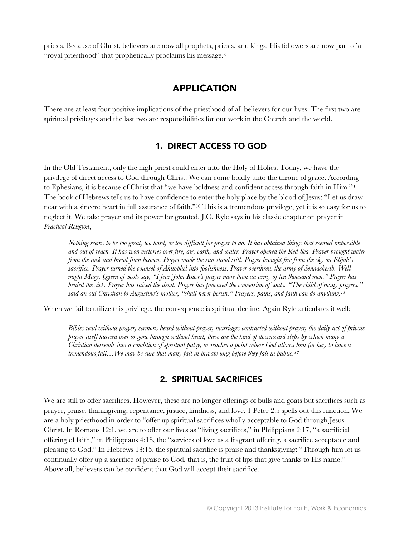priests. Because of Christ, believers are now all prophets, priests, and kings. His followers are now part of a "royal priesthood" that prophetically proclaims his message.<sup>8</sup>

## **APPLICATION**

There are at least four positive implications of the priesthood of all believers for our lives. The first two are spiritual privileges and the last two are responsibilities for our work in the Church and the world.

#### 1. DIRECT ACCESS TO GOD

In the Old Testament, only the high priest could enter into the Holy of Holies. Today, we have the privilege of direct access to God through Christ. We can come boldly unto the throne of grace. According to Ephesians, it is because of Christ that "we have boldness and confident access through faith in Him."<sup>9</sup> The book of Hebrews tells us to have confidence to enter the holy place by the blood of Jesus: "Let us draw near with a sincere heart in full assurance of faith."<sup>10</sup> This is a tremendous privilege, yet it is so easy for us to neglect it. We take prayer and its power for granted. J.C. Ryle says in his classic chapter on prayer in *Practical Religion*,

*Nothing seems to be too great, too hard, or too difficult for prayer to do. It has obtained things that seemed impossible and out of reach. It has won victories over fire, air, earth, and water. Prayer opened the Red Sea. Prayer brought water from the rock and bread from heaven. Prayer made the sun stand still. Prayer brought fire from the sky on Elijah's sacrifice. Prayer turned the counsel of Ahitophel into foolishness. Prayer overthrew the army of Sennacherib. Well might Mary, Queen of Scots say, "I fear John Knox's prayer more than an army of ten thousand men." Prayer has healed the sick. Prayer has raised the dead. Prayer has procured the conversion of souls. "The child of many prayers," said an old Christian to Augustine's mother, "shall never perish." Prayers, pains, and faith can do anything.<sup>11</sup>*

When we fail to utilize this privilege, the consequence is spiritual decline. Again Ryle articulates it well:

*Bibles read without prayer, sermons heard without prayer, marriages contracted without prayer, the daily act of private prayer itself hurried over or gone through without heart, these are the kind of downward steps by which many a Christian descends into a condition of spiritual palsy, or reaches a point where God allows him (or her) to have a tremendous fall…We may be sure that many fall in private long before they fall in public.<sup>12</sup>*

#### 2. SPIRITUAL SACRIFICES

We are still to offer sacrifices. However, these are no longer offerings of bulls and goats but sacrifices such as prayer, praise, thanksgiving, repentance, justice, kindness, and love. 1 Peter 2:5 spells out this function. We are a holy priesthood in order to "offer up spiritual sacrifices wholly acceptable to God through Jesus Christ. In Romans 12:1, we are to offer our lives as "living sacrifices," in Philippians 2:17, "a sacrificial offering of faith," in Philippians 4:18, the "services of love as a fragrant offering, a sacrifice acceptable and pleasing to God." In Hebrews 13:15, the spiritual sacrifice is praise and thanksgiving: "Through him let us continually offer up a sacrifice of praise to God, that is, the fruit of lips that give thanks to His name." Above all, believers can be confident that God will accept their sacrifice.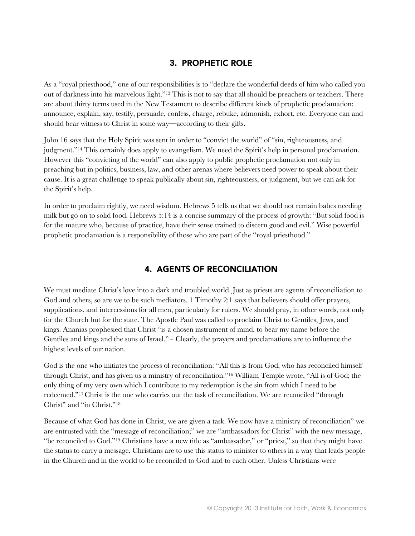## 3. PROPHETIC ROLE

As a "royal priesthood," one of our responsibilities is to "declare the wonderful deeds of him who called you out of darkness into his marvelous light."<sup>13</sup> This is not to say that all should be preachers or teachers. There are about thirty terms used in the New Testament to describe different kinds of prophetic proclamation: announce, explain, say, testify, persuade, confess, charge, rebuke, admonish, exhort, etc. Everyone can and should bear witness to Christ in some way—according to their gifts.

John 16 says that the Holy Spirit was sent in order to "convict the world" of "sin, righteousness, and judgment."<sup>14</sup> This certainly does apply to evangelism. We need the Spirit's help in personal proclamation. However this "convicting of the world" can also apply to public prophetic proclamation not only in preaching but in politics, business, law, and other arenas where believers need power to speak about their cause. It is a great challenge to speak publically about sin, righteousness, or judgment, but we can ask for the Spirit's help.

In order to proclaim rightly, we need wisdom. Hebrews 5 tells us that we should not remain babes needing milk but go on to solid food. Hebrews 5:14 is a concise summary of the process of growth: "But solid food is for the mature who, because of practice, have their sense trained to discern good and evil." Wise powerful prophetic proclamation is a responsibility of those who are part of the "royal priesthood."

## **4. AGENTS OF RECONCILIATION**

We must mediate Christ's love into a dark and troubled world. Just as priests are agents of reconciliation to God and others, so are we to be such mediators. 1 Timothy 2:1 says that believers should offer prayers, supplications, and intercessions for all men, particularly for rulers. We should pray, in other words, not only for the Church but for the state. The Apostle Paul was called to proclaim Christ to Gentiles, Jews, and kings. Ananias prophesied that Christ "is a chosen instrument of mind, to bear my name before the Gentiles and kings and the sons of Israel."<sup>15</sup> Clearly, the prayers and proclamations are to influence the highest levels of our nation.

God is the one who initiates the process of reconciliation: "All this is from God, who has reconciled himself through Christ, and has given us a ministry of reconciliation."<sup>16</sup> William Temple wrote, "All is of God; the only thing of my very own which I contribute to my redemption is the sin from which I need to be redeemed."<sup>17</sup> Christ is the one who carries out the task of reconciliation. We are reconciled "through Christ" and "in Christ."<sup>18</sup>

Because of what God has done in Christ, we are given a task. We now have a ministry of reconciliation" we are entrusted with the "message of reconciliation;" we are "ambassadors for Christ" with the new message, "be reconciled to God."<sup>19</sup> Christians have a new title as "ambassador," or "priest," so that they might have the status to carry a message. Christians are to use this status to minister to others in a way that leads people in the Church and in the world to be reconciled to God and to each other. Unless Christians were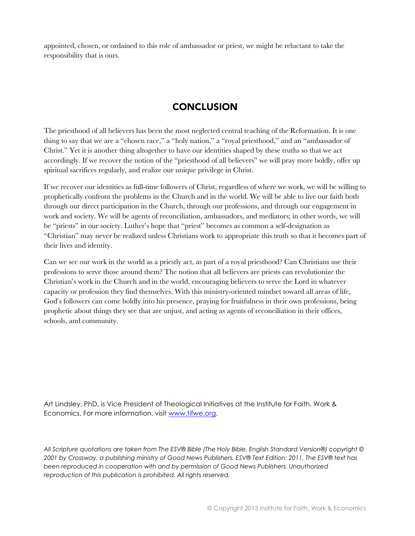appointed, chosen, or ordained to this role of ambassador or priest, we might be reluctant to take the responsibility that is ours.

# **CONCLUSION**

The priesthood of all believers has been the most neglected central teaching of the Reformation. It is one thing to say that we are a "chosen race," a "holy nation," a "royal priesthood," and an "ambassador of Christ." Yet it is another thing altogether to have our identities shaped by these truths so that we act accordingly. If we recover the notion of the "priesthood of all believers" we will pray more boldly, offer up spiritual sacrifices regularly, and realize our unique privilege in Christ.

If we recover our identities as full-time followers of Christ, regardless of where we work, we will be willing to prophetically confront the problems in the Church and in the world. We will be able to live our faith both through our direct participation in the Church, through our professions, and through our engagement in work and society. We will be agents of reconciliation, ambassadors, and mediators; in other words, we will be "priests" in our society. Luther's hope that "priest" becomes as common a self-designation as "Christian" may never be realized unless Christians work to appropriate this truth so that it becomes part of their lives and identity.

Can we see our work in the world as a priestly act, as part of a royal priesthood? Can Christians use their professions to serve those around them? The notion that all believers are priests can revolutionize the Christian's work in the Church and in the world, encouraging believers to serve the Lord in whatever capacity or profession they find themselves. With this ministry-oriented mindset toward all areas of life, God's followers can come boldly into his presence, praying for fruitfulness in their own professions, being prophetic about things they see that are unjust, and acting as agents of reconciliation in their offices, schools, and community.

Art Lindsley, PhD, is Vice President of Theological Initiatives at the Institute for Faith, Work & Economics. For more information, visit [www.tifwe.org.](http://www.tifwe.org/)

*All Scripture quotations are taken from The ESV® Bible (The Holy Bible, English Standard Version®) copyright © 2001 by Crossway, a publishing ministry of Good News Publishers. ESV® Text Edition: 2011. The ESV® text has been reproduced in cooperation with and by permission of Good News Publishers. Unauthorized reproduction of this publication is prohibited. All rights reserved.*